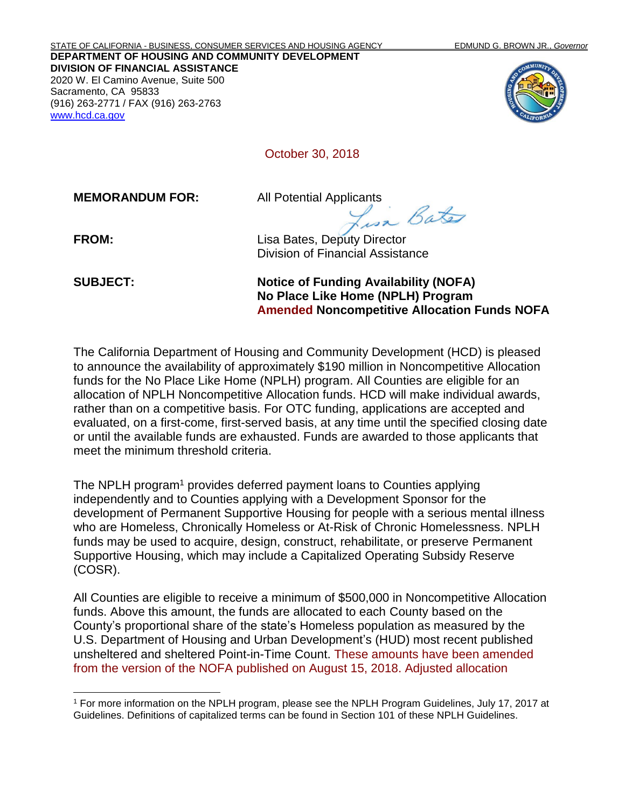STATE OF CALIFORNIA - BUSINESS, CONSUMER SERVICES AND HOUSING AGENCY EDMUND G. BROWN JR., *Governor* **DEPARTMENT OF HOUSING AND COMMUNITY DEVELOPMENT DIVISION OF FINANCIAL ASSISTANCE** 2020 W. El Camino Avenue, Suite 500 Sacramento, CA 95833 (916) 263-2771 / FAX (916) 263-2763 [www.hcd.ca.gov](http://www.hcd.ca.gov/)



October 30, 2018

**MEMORANDUM FOR:** All Potential Applicants<br>Bate

**FROM:** Lisa Bates, Deputy Director Division of Financial Assistance

**SUBJECT: Notice of Funding Availability (NOFA) No Place Like Home (NPLH) Program Amended Noncompetitive Allocation Funds NOFA**

The California Department of Housing and Community Development (HCD) is pleased to announce the availability of approximately \$190 million in Noncompetitive Allocation funds for the No Place Like Home (NPLH) program. All Counties are eligible for an allocation of NPLH Noncompetitive Allocation funds. HCD will make individual awards, rather than on a competitive basis. For OTC funding, applications are accepted and evaluated, on a first-come, first-served basis, at any time until the specified closing date or until the available funds are exhausted. Funds are awarded to those applicants that meet the minimum threshold criteria.

The NPLH program<sup>1</sup> provides deferred payment loans to Counties applying independently and to Counties applying with a Development Sponsor for the development of Permanent Supportive Housing for people with a serious mental illness who are Homeless, Chronically Homeless or At-Risk of Chronic Homelessness. NPLH funds may be used to acquire, design, construct, rehabilitate, or preserve Permanent Supportive Housing, which may include a Capitalized Operating Subsidy Reserve (COSR).

All Counties are eligible to receive a minimum of \$500,000 in Noncompetitive Allocation funds. Above this amount, the funds are allocated to each County based on the County's proportional share of the state's Homeless population as measured by the U.S. Department of Housing and Urban Development's (HUD) most recent published unsheltered and sheltered Point-in-Time Count. These amounts have been amended from the version of the NOFA published on August 15, 2018. Adjusted allocation

<sup>1</sup> For more information on the NPLH program, please see the NPLH Program Guidelines, July 17, 2017 at Guidelines. Definitions of capitalized terms can be found in Section 101 of these NPLH Guidelines.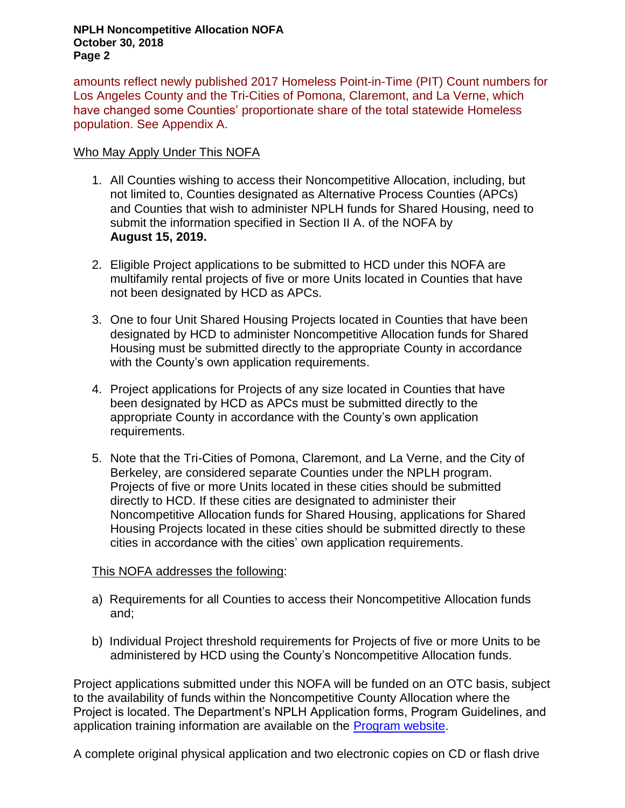#### **NPLH Noncompetitive Allocation NOFA October 30, 2018 Page 2**

amounts reflect newly published 2017 Homeless Point-in-Time (PIT) Count numbers for Los Angeles County and the Tri-Cities of Pomona, Claremont, and La Verne, which have changed some Counties' proportionate share of the total statewide Homeless population. See Appendix A.

#### Who May Apply Under This NOFA

- 1. All Counties wishing to access their Noncompetitive Allocation, including, but not limited to, Counties designated as Alternative Process Counties (APCs) and Counties that wish to administer NPLH funds for Shared Housing, need to submit the information specified in Section II A. of the NOFA by **August 15, 2019.**
- 2. Eligible Project applications to be submitted to HCD under this NOFA are multifamily rental projects of five or more Units located in Counties that have not been designated by HCD as APCs.
- 3. One to four Unit Shared Housing Projects located in Counties that have been designated by HCD to administer Noncompetitive Allocation funds for Shared Housing must be submitted directly to the appropriate County in accordance with the County's own application requirements.
- 4. Project applications for Projects of any size located in Counties that have been designated by HCD as APCs must be submitted directly to the appropriate County in accordance with the County's own application requirements.
- 5. Note that the Tri-Cities of Pomona, Claremont, and La Verne, and the City of Berkeley, are considered separate Counties under the NPLH program. Projects of five or more Units located in these cities should be submitted directly to HCD. If these cities are designated to administer their Noncompetitive Allocation funds for Shared Housing, applications for Shared Housing Projects located in these cities should be submitted directly to these cities in accordance with the cities' own application requirements.

#### This NOFA addresses the following:

- a) Requirements for all Counties to access their Noncompetitive Allocation funds and;
- b) Individual Project threshold requirements for Projects of five or more Units to be administered by HCD using the County's Noncompetitive Allocation funds.

Project applications submitted under this NOFA will be funded on an OTC basis, subject to the availability of funds within the Noncompetitive County Allocation where the Project is located. The Department's NPLH Application forms, Program Guidelines, and application training information are available on the **Program website**.

A complete original physical application and two electronic copies on CD or flash drive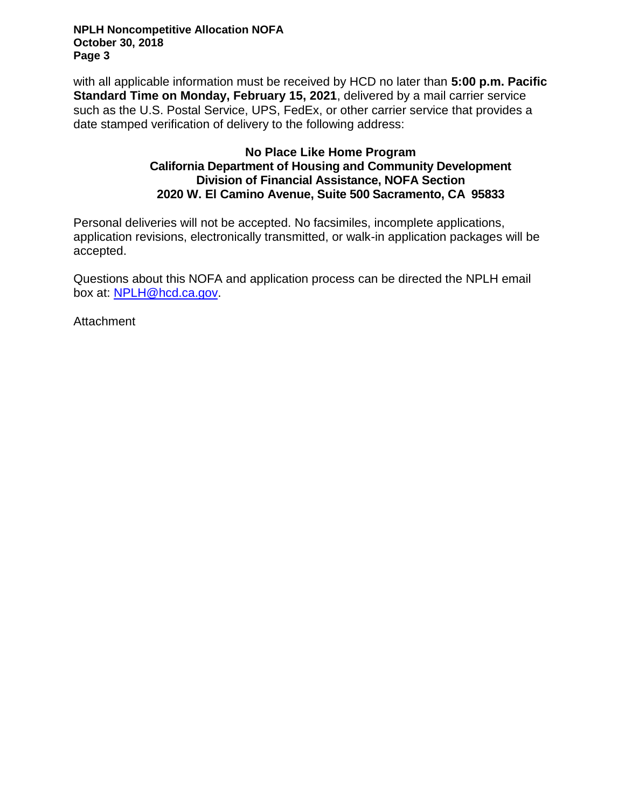**NPLH Noncompetitive Allocation NOFA October 30, 2018 Page 3**

with all applicable information must be received by HCD no later than **5:00 p.m. Pacific Standard Time on Monday, February 15, 2021**, delivered by a mail carrier service such as the U.S. Postal Service, UPS, FedEx, or other carrier service that provides a date stamped verification of delivery to the following address:

#### **No Place Like Home Program California Department of Housing and Community Development Division of Financial Assistance, NOFA Section 2020 W. El Camino Avenue, Suite 500 Sacramento, CA 95833**

Personal deliveries will not be accepted. No facsimiles, incomplete applications, application revisions, electronically transmitted, or walk-in application packages will be accepted.

Questions about this NOFA and application process can be directed the NPLH email box at: [NPLH@hcd.ca.gov.](mailto:NPLH@hcd.ca.gov)

**Attachment**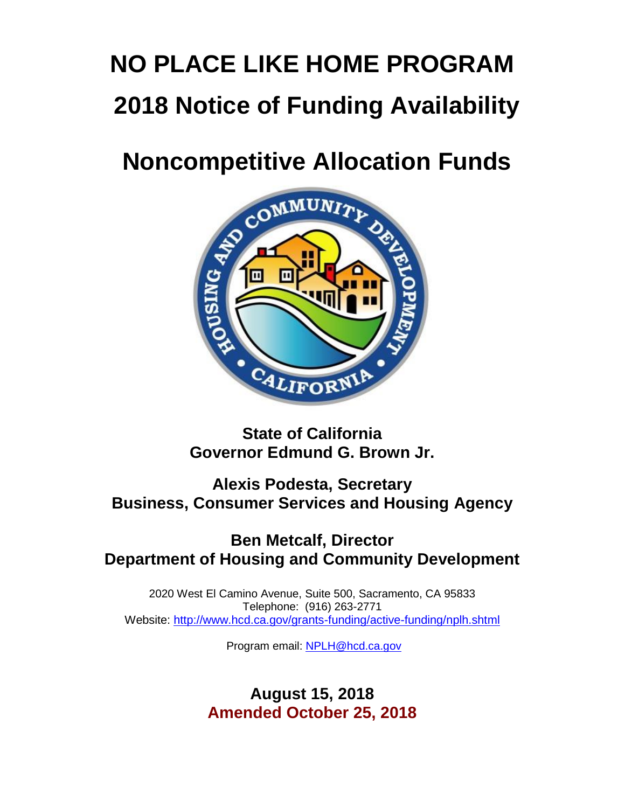# **NO PLACE LIKE HOME PROGRAM 2018 Notice of Funding Availability**



## **State of California Governor Edmund G. Brown Jr.**

## **Alexis Podesta, Secretary Business, Consumer Services and Housing Agency**

## **Ben Metcalf, Director Department of Housing and Community Development**

2020 West El Camino Avenue, Suite 500, Sacramento, CA 95833 Telephone: (916) 263-2771 Website:<http://www.hcd.ca.gov/grants-funding/active-funding/nplh.shtml>

Program email: [NPLH@hcd.ca.gov](mailto:NPLH@hcd.ca.gov)

## **August 15, 2018 Amended October 25, 2018**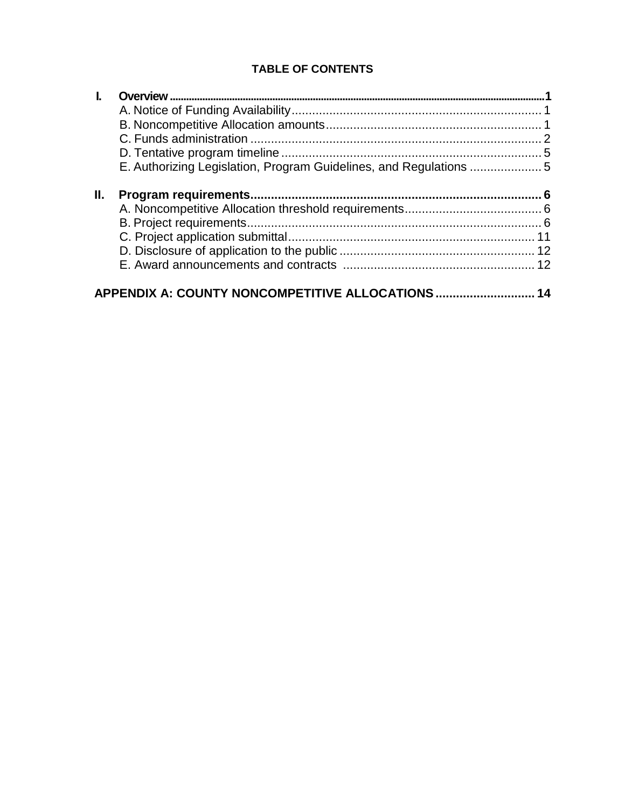### **TABLE OF CONTENTS**

| Ш. |                                               |    |
|----|-----------------------------------------------|----|
|    |                                               |    |
|    |                                               |    |
|    |                                               |    |
|    |                                               |    |
|    |                                               |    |
|    | APPENDIX A: COUNTY NONCOMPETITIVE ALLOCATIONS | 14 |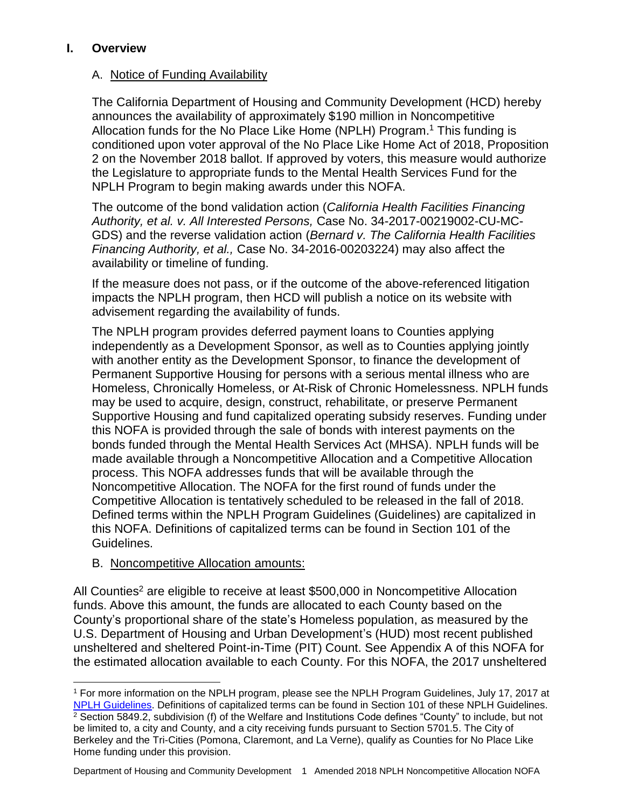#### <span id="page-5-0"></span>**I. Overview**

#### <span id="page-5-1"></span>A. Notice of Funding Availability

The California Department of Housing and Community Development (HCD) hereby announces the availability of approximately \$190 million in Noncompetitive Allocation funds for the No Place Like Home (NPLH) Program.<sup>1</sup> This funding is conditioned upon voter approval of the No Place Like Home Act of 2018, Proposition 2 on the November 2018 ballot. If approved by voters, this measure would authorize the Legislature to appropriate funds to the Mental Health Services Fund for the NPLH Program to begin making awards under this NOFA.

The outcome of the bond validation action (*California Health Facilities Financing Authority, et al. v. All Interested Persons,* Case No. 34-2017-00219002-CU-MC-GDS) and the reverse validation action (*Bernard v. The California Health Facilities Financing Authority, et al.,* Case No. 34-2016-00203224) may also affect the availability or timeline of funding.

If the measure does not pass, or if the outcome of the above-referenced litigation impacts the NPLH program, then HCD will publish a notice on its website with advisement regarding the availability of funds.

The NPLH program provides deferred payment loans to Counties applying independently as a Development Sponsor, as well as to Counties applying jointly with another entity as the Development Sponsor, to finance the development of Permanent Supportive Housing for persons with a serious mental illness who are Homeless, Chronically Homeless, or At-Risk of Chronic Homelessness. NPLH funds may be used to acquire, design, construct, rehabilitate, or preserve Permanent Supportive Housing and fund capitalized operating subsidy reserves. Funding under this NOFA is provided through the sale of bonds with interest payments on the bonds funded through the Mental Health Services Act (MHSA). NPLH funds will be made available through a Noncompetitive Allocation and a Competitive Allocation process. This NOFA addresses funds that will be available through the Noncompetitive Allocation. The NOFA for the first round of funds under the Competitive Allocation is tentatively scheduled to be released in the fall of 2018. Defined terms within the NPLH Program Guidelines (Guidelines) are capitalized in this NOFA. Definitions of capitalized terms can be found in Section 101 of the Guidelines.

#### <span id="page-5-2"></span>B. Noncompetitive Allocation amounts:

All Counties<sup>2</sup> are eligible to receive at least \$500,000 in Noncompetitive Allocation funds. Above this amount, the funds are allocated to each County based on the County's proportional share of the state's Homeless population, as measured by the U.S. Department of Housing and Urban Development's (HUD) most recent published unsheltered and sheltered Point-in-Time (PIT) Count. See Appendix A of this NOFA for the estimated allocation available to each County. For this NOFA, the 2017 unsheltered

<sup>1</sup> For more information on the NPLH program, please see the NPLH Program Guidelines, July 17, 2017 at [NPLH Guidelines.](http://165.235.250.163/grants-funding/active-funding/nplh.shtml) Definitions of capitalized terms can be found in Section 101 of these NPLH Guidelines. <sup>2</sup> Section 5849.2, subdivision (f) of the Welfare and Institutions Code defines "County" to include, but not be limited to, a city and County, and a city receiving funds pursuant to Section 5701.5. The City of Berkeley and the Tri-Cities (Pomona, Claremont, and La Verne), qualify as Counties for No Place Like Home funding under this provision.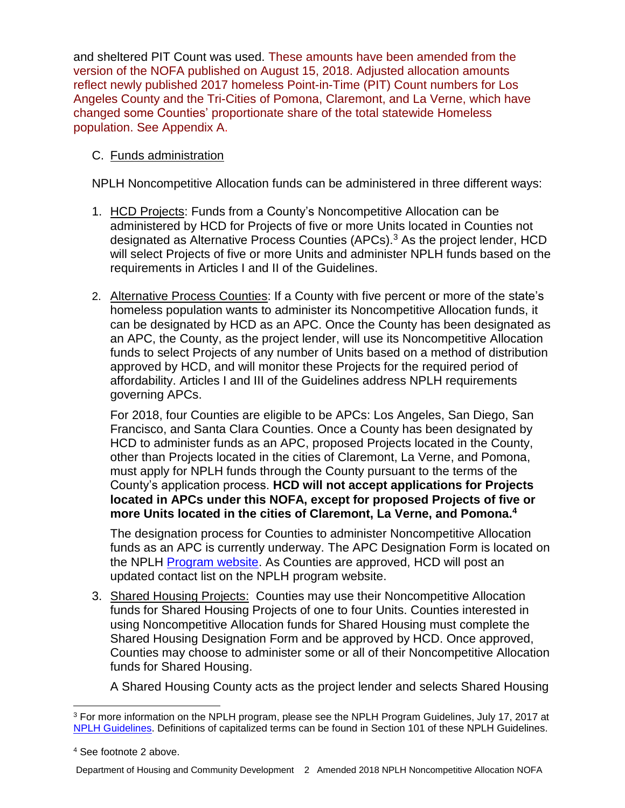and sheltered PIT Count was used. These amounts have been amended from the version of the NOFA published on August 15, 2018. Adjusted allocation amounts reflect newly published 2017 homeless Point-in-Time (PIT) Count numbers for Los Angeles County and the Tri-Cities of Pomona, Claremont, and La Verne, which have changed some Counties' proportionate share of the total statewide Homeless population. See Appendix A.

#### <span id="page-6-0"></span>C. Funds administration

NPLH Noncompetitive Allocation funds can be administered in three different ways:

- 1. HCD Projects: Funds from a County's Noncompetitive Allocation can be administered by HCD for Projects of five or more Units located in Counties not designated as Alternative Process Counties (APCs).<sup>3</sup> As the project lender, HCD will select Projects of five or more Units and administer NPLH funds based on the requirements in Articles I and II of the Guidelines.
- 2. Alternative Process Counties: If a County with five percent or more of the state's homeless population wants to administer its Noncompetitive Allocation funds, it can be designated by HCD as an APC. Once the County has been designated as an APC, the County, as the project lender, will use its Noncompetitive Allocation funds to select Projects of any number of Units based on a method of distribution approved by HCD, and will monitor these Projects for the required period of affordability. Articles I and III of the Guidelines address NPLH requirements governing APCs.

For 2018, four Counties are eligible to be APCs: Los Angeles, San Diego, San Francisco, and Santa Clara Counties. Once a County has been designated by HCD to administer funds as an APC, proposed Projects located in the County, other than Projects located in the cities of Claremont, La Verne, and Pomona, must apply for NPLH funds through the County pursuant to the terms of the County's application process. **HCD will not accept applications for Projects located in APCs under this NOFA, except for proposed Projects of five or more Units located in the cities of Claremont, La Verne, and Pomona. 4**

The designation process for Counties to administer Noncompetitive Allocation funds as an APC is currently underway. The APC Designation Form is located on the NPLH [Program website.](http://www.hcd.ca.gov/grants-funding/active-funding/nplh.shtml) As Counties are approved. HCD will post an updated contact list on the NPLH program website.

3. Shared Housing Projects: Counties may use their Noncompetitive Allocation funds for Shared Housing Projects of one to four Units. Counties interested in using Noncompetitive Allocation funds for Shared Housing must complete the Shared Housing Designation Form and be approved by HCD. Once approved, Counties may choose to administer some or all of their Noncompetitive Allocation funds for Shared Housing.

A Shared Housing County acts as the project lender and selects Shared Housing

<sup>3</sup> For more information on the NPLH program, please see the NPLH Program Guidelines, July 17, 2017 at [NPLH Guidelines.](http://www.hcd.ca.gov/grants-funding/active-funding/nplh.shtml#guidelines) Definitions of capitalized terms can be found in Section 101 of these NPLH Guidelines.

<sup>4</sup> See footnote 2 above.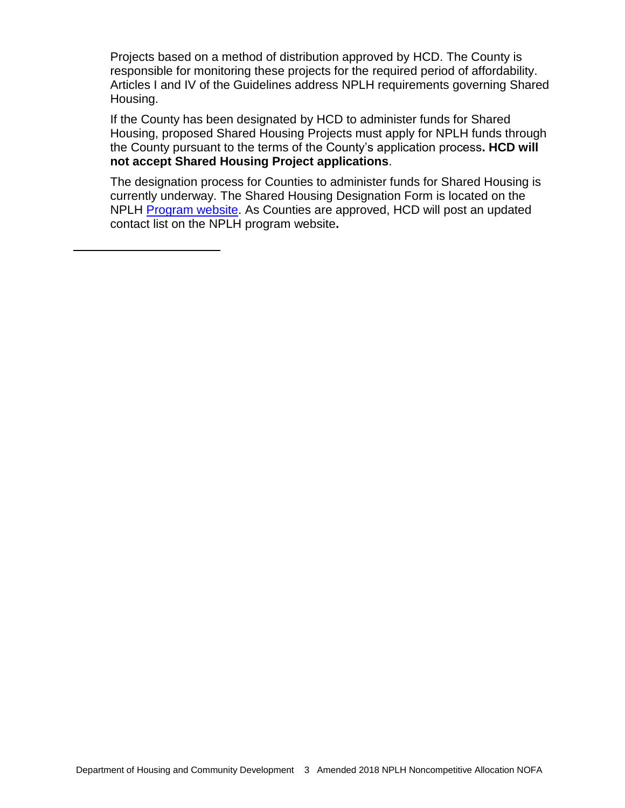Projects based on a method of distribution approved by HCD. The County is responsible for monitoring these projects for the required period of affordability. Articles I and IV of the Guidelines address NPLH requirements governing Shared Housing.

If the County has been designated by HCD to administer funds for Shared Housing, proposed Shared Housing Projects must apply for NPLH funds through the County pursuant to the terms of the County's application process**. HCD will not accept Shared Housing Project applications**.

The designation process for Counties to administer funds for Shared Housing is currently underway. The Shared Housing Designation Form is located on the NPLH [Program website.](http://www.hcd.ca.gov/grants-funding/active-funding/nplh.shtml) As Counties are approved, HCD will post an updated contact list on the NPLH program website**.**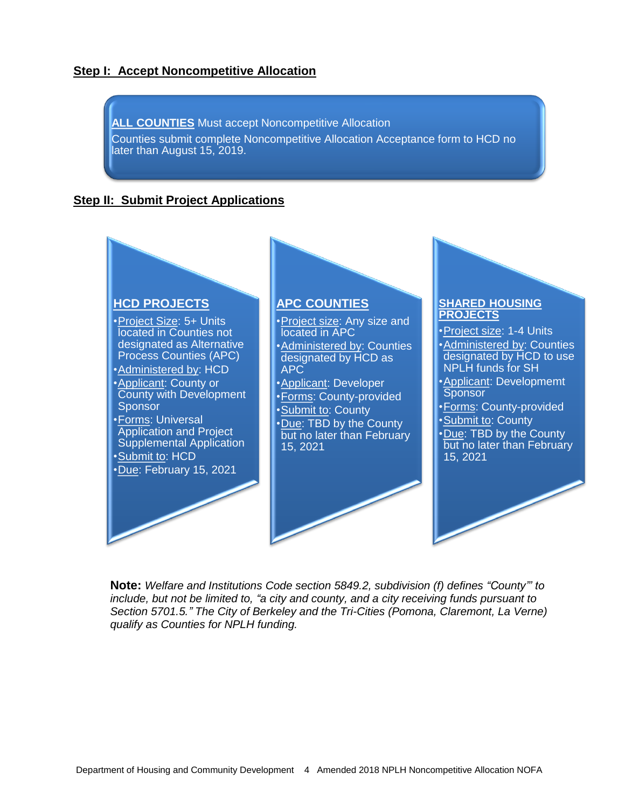#### **Step I: Accept Noncompetitive Allocation**



#### **Step II: Submit Project Applications**



**Note:** *Welfare and Institutions Code section 5849.2, subdivision (f) defines "County"' to include, but not be limited to, "a city and county, and a city receiving funds pursuant to Section 5701.5." The City of Berkeley and the Tri-Cities (Pomona, Claremont, La Verne) qualify as Counties for NPLH funding.*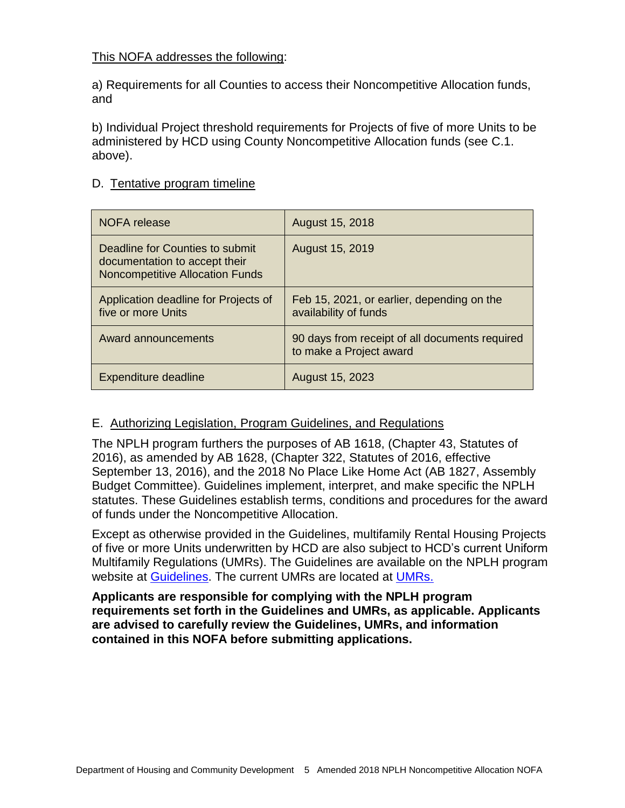#### This NOFA addresses the following:

a) Requirements for all Counties to access their Noncompetitive Allocation funds, and

b) Individual Project threshold requirements for Projects of five of more Units to be administered by HCD using County Noncompetitive Allocation funds (see C.1. above).

#### <span id="page-9-0"></span>D. Tentative program timeline

| NOFA release                                                                                               | August 15, 2018                                                           |
|------------------------------------------------------------------------------------------------------------|---------------------------------------------------------------------------|
| Deadline for Counties to submit<br>documentation to accept their<br><b>Noncompetitive Allocation Funds</b> | August 15, 2019                                                           |
| Application deadline for Projects of<br>five or more Units                                                 | Feb 15, 2021, or earlier, depending on the<br>availability of funds       |
| Award announcements                                                                                        | 90 days from receipt of all documents required<br>to make a Project award |
| Expenditure deadline                                                                                       | August 15, 2023                                                           |

#### <span id="page-9-1"></span>E. Authorizing Legislation, Program Guidelines, and Regulations

The NPLH program furthers the purposes of AB 1618, (Chapter 43, Statutes of 2016), as amended by AB 1628, (Chapter 322, Statutes of 2016, effective September 13, 2016), and the 2018 No Place Like Home Act (AB 1827, Assembly Budget Committee). Guidelines implement, interpret, and make specific the NPLH statutes. These Guidelines establish terms, conditions and procedures for the award of funds under the Noncompetitive Allocation.

Except as otherwise provided in the Guidelines, multifamily Rental Housing Projects of five or more Units underwritten by HCD are also subject to HCD's current Uniform Multifamily Regulations (UMRs). The Guidelines are available on the NPLH program website at [Guidelines.](http://www.hcd.ca.gov/grants-funding/active-funding/nplh.shtml) The current UMRs are located at [UMRs.](http://www.hcd.ca.gov/grants-funding/already-have-funding/uniform-multifamily-regulations.shtml)

**Applicants are responsible for complying with the NPLH program requirements set forth in the Guidelines and UMRs, as applicable. Applicants are advised to carefully review the Guidelines, UMRs, and information contained in this NOFA before submitting applications.**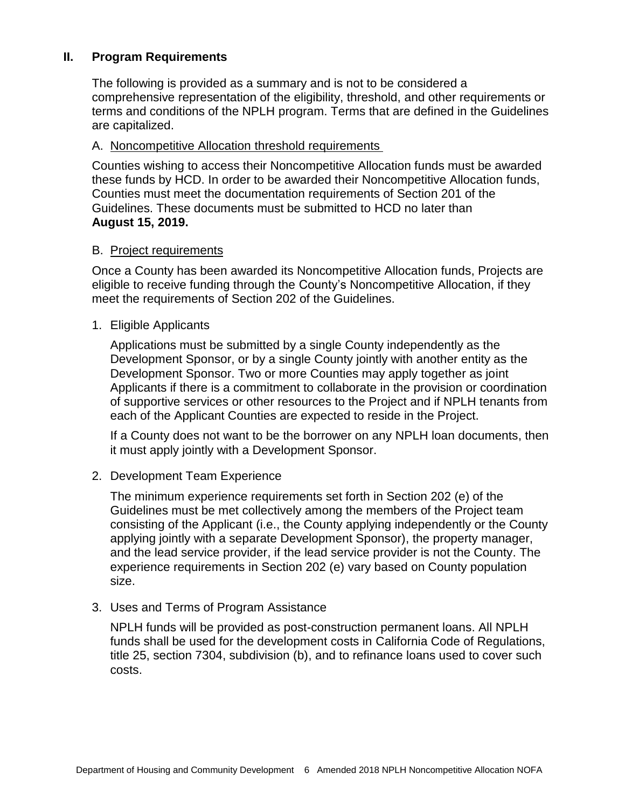#### **II. Program Requirements**

<span id="page-10-0"></span>The following is provided as a summary and is not to be considered a comprehensive representation of the eligibility, threshold, and other requirements or terms and conditions of the NPLH program. Terms that are defined in the Guidelines are capitalized.

#### <span id="page-10-1"></span>A. Noncompetitive Allocation threshold requirements

Counties wishing to access their Noncompetitive Allocation funds must be awarded these funds by HCD. In order to be awarded their Noncompetitive Allocation funds, Counties must meet the documentation requirements of Section 201 of the Guidelines. These documents must be submitted to HCD no later than **August 15, 2019.**

#### <span id="page-10-2"></span>B. Project requirements

Once a County has been awarded its Noncompetitive Allocation funds, Projects are eligible to receive funding through the County's Noncompetitive Allocation, if they meet the requirements of Section 202 of the Guidelines.

#### 1. Eligible Applicants

Applications must be submitted by a single County independently as the Development Sponsor, or by a single County jointly with another entity as the Development Sponsor. Two or more Counties may apply together as joint Applicants if there is a commitment to collaborate in the provision or coordination of supportive services or other resources to the Project and if NPLH tenants from each of the Applicant Counties are expected to reside in the Project.

If a County does not want to be the borrower on any NPLH loan documents, then it must apply jointly with a Development Sponsor.

#### 2. Development Team Experience

The minimum experience requirements set forth in Section 202 (e) of the Guidelines must be met collectively among the members of the Project team consisting of the Applicant (i.e., the County applying independently or the County applying jointly with a separate Development Sponsor), the property manager, and the lead service provider, if the lead service provider is not the County. The experience requirements in Section 202 (e) vary based on County population size.

#### 3. Uses and Terms of Program Assistance

NPLH funds will be provided as post-construction permanent loans. All NPLH funds shall be used for the development costs in California Code of Regulations, title 25, section 7304, subdivision (b), and to refinance loans used to cover such costs.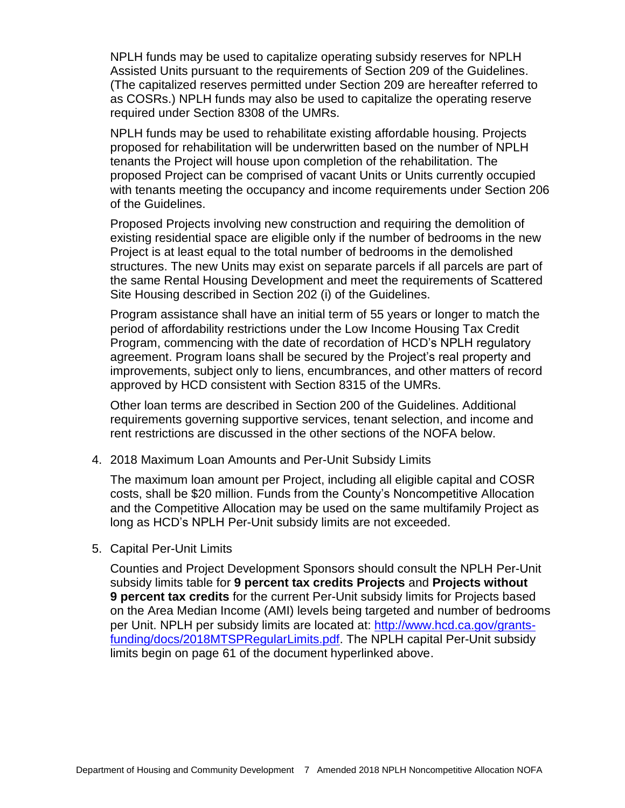NPLH funds may be used to capitalize operating subsidy reserves for NPLH Assisted Units pursuant to the requirements of Section 209 of the Guidelines. (The capitalized reserves permitted under Section 209 are hereafter referred to as COSRs.) NPLH funds may also be used to capitalize the operating reserve required under Section 8308 of the UMRs.

NPLH funds may be used to rehabilitate existing affordable housing. Projects proposed for rehabilitation will be underwritten based on the number of NPLH tenants the Project will house upon completion of the rehabilitation. The proposed Project can be comprised of vacant Units or Units currently occupied with tenants meeting the occupancy and income requirements under Section 206 of the Guidelines.

Proposed Projects involving new construction and requiring the demolition of existing residential space are eligible only if the number of bedrooms in the new Project is at least equal to the total number of bedrooms in the demolished structures. The new Units may exist on separate parcels if all parcels are part of the same Rental Housing Development and meet the requirements of Scattered Site Housing described in Section 202 (i) of the Guidelines.

Program assistance shall have an initial term of 55 years or longer to match the period of affordability restrictions under the Low Income Housing Tax Credit Program, commencing with the date of recordation of HCD's NPLH regulatory agreement. Program loans shall be secured by the Project's real property and improvements, subject only to liens, encumbrances, and other matters of record approved by HCD consistent with Section 8315 of the UMRs.

Other loan terms are described in Section 200 of the Guidelines. Additional requirements governing supportive services, tenant selection, and income and rent restrictions are discussed in the other sections of the NOFA below.

4. 2018 Maximum Loan Amounts and Per-Unit Subsidy Limits

The maximum loan amount per Project, including all eligible capital and COSR costs, shall be \$20 million. Funds from the County's Noncompetitive Allocation and the Competitive Allocation may be used on the same multifamily Project as long as HCD's NPLH Per-Unit subsidy limits are not exceeded.

5. Capital Per-Unit Limits

Counties and Project Development Sponsors should consult the NPLH Per-Unit subsidy limits table for **9 percent tax credits Projects** and **Projects without 9 percent tax credits** for the current Per-Unit subsidy limits for Projects based on the Area Median Income (AMI) levels being targeted and number of bedrooms per Unit. NPLH per subsidy limits are located at: [http://www.hcd.ca.gov/grants](http://www.hcd.ca.gov/grants-funding/docs/2018MTSPRegularLimits.pdf)[funding/docs/2018MTSPRegularLimits.pdf.](http://www.hcd.ca.gov/grants-funding/docs/2018MTSPRegularLimits.pdf) The NPLH capital Per-Unit subsidy limits begin on page 61 of the document hyperlinked above.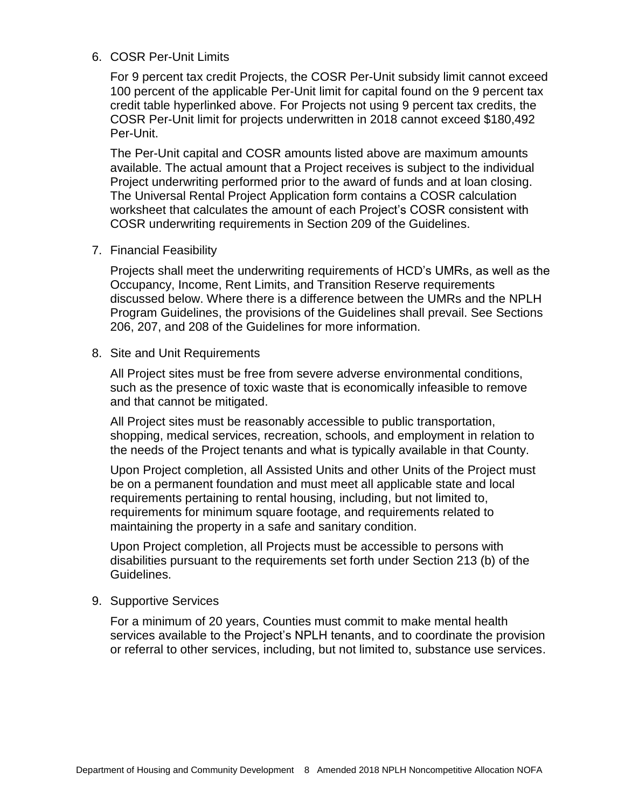#### 6. COSR Per-Unit Limits

For 9 percent tax credit Projects, the COSR Per-Unit subsidy limit cannot exceed 100 percent of the applicable Per-Unit limit for capital found on the 9 percent tax credit table hyperlinked above. For Projects not using 9 percent tax credits, the COSR Per-Unit limit for projects underwritten in 2018 cannot exceed \$180,492 Per-Unit.

The Per-Unit capital and COSR amounts listed above are maximum amounts available. The actual amount that a Project receives is subject to the individual Project underwriting performed prior to the award of funds and at loan closing. The Universal Rental Project Application form contains a COSR calculation worksheet that calculates the amount of each Project's COSR consistent with COSR underwriting requirements in Section 209 of the Guidelines.

7. Financial Feasibility

Projects shall meet the underwriting requirements of HCD's UMRs, as well as the Occupancy, Income, Rent Limits, and Transition Reserve requirements discussed below. Where there is a difference between the UMRs and the NPLH Program Guidelines, the provisions of the Guidelines shall prevail. See Sections 206, 207, and 208 of the Guidelines for more information.

8. Site and Unit Requirements

All Project sites must be free from severe adverse environmental conditions, such as the presence of toxic waste that is economically infeasible to remove and that cannot be mitigated.

All Project sites must be reasonably accessible to public transportation, shopping, medical services, recreation, schools, and employment in relation to the needs of the Project tenants and what is typically available in that County.

Upon Project completion, all Assisted Units and other Units of the Project must be on a permanent foundation and must meet all applicable state and local requirements pertaining to rental housing, including, but not limited to, requirements for minimum square footage, and requirements related to maintaining the property in a safe and sanitary condition.

Upon Project completion, all Projects must be accessible to persons with disabilities pursuant to the requirements set forth under Section 213 (b) of the Guidelines.

9. Supportive Services

For a minimum of 20 years, Counties must commit to make mental health services available to the Project's NPLH tenants, and to coordinate the provision or referral to other services, including, but not limited to, substance use services.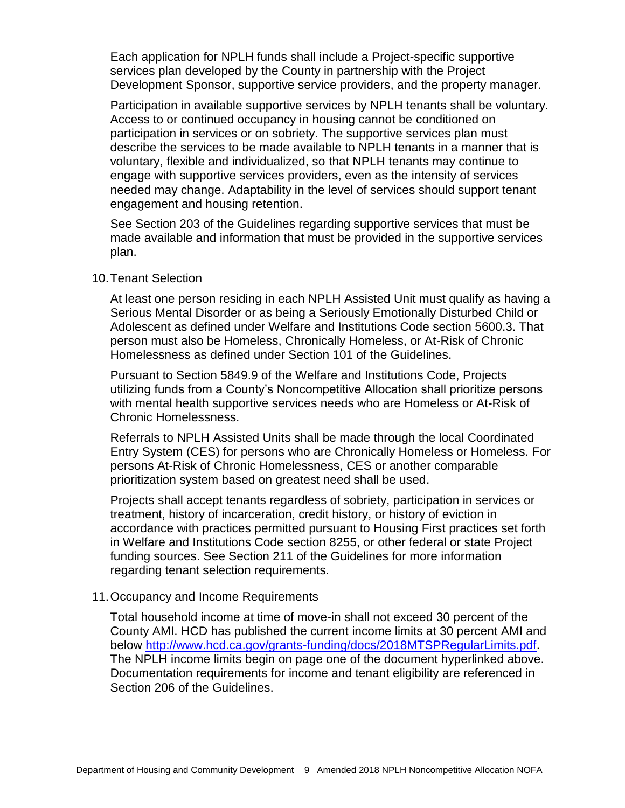Each application for NPLH funds shall include a Project-specific supportive services plan developed by the County in partnership with the Project Development Sponsor, supportive service providers, and the property manager.

Participation in available supportive services by NPLH tenants shall be voluntary. Access to or continued occupancy in housing cannot be conditioned on participation in services or on sobriety. The supportive services plan must describe the services to be made available to NPLH tenants in a manner that is voluntary, flexible and individualized, so that NPLH tenants may continue to engage with supportive services providers, even as the intensity of services needed may change. Adaptability in the level of services should support tenant engagement and housing retention.

See Section 203 of the Guidelines regarding supportive services that must be made available and information that must be provided in the supportive services plan.

#### 10.Tenant Selection

At least one person residing in each NPLH Assisted Unit must qualify as having a Serious Mental Disorder or as being a Seriously Emotionally Disturbed Child or Adolescent as defined under Welfare and Institutions Code section 5600.3. That person must also be Homeless, Chronically Homeless, or At-Risk of Chronic Homelessness as defined under Section 101 of the Guidelines.

Pursuant to Section 5849.9 of the Welfare and Institutions Code, Projects utilizing funds from a County's Noncompetitive Allocation shall prioritize persons with mental health supportive services needs who are Homeless or At-Risk of Chronic Homelessness.

Referrals to NPLH Assisted Units shall be made through the local Coordinated Entry System (CES) for persons who are Chronically Homeless or Homeless. For persons At-Risk of Chronic Homelessness, CES or another comparable prioritization system based on greatest need shall be used.

Projects shall accept tenants regardless of sobriety, participation in services or treatment, history of incarceration, credit history, or history of eviction in accordance with practices permitted pursuant to Housing First practices set forth in Welfare and Institutions Code section 8255, or other federal or state Project funding sources. See Section 211 of the Guidelines for more information regarding tenant selection requirements.

#### 11.Occupancy and Income Requirements

Total household income at time of move-in shall not exceed 30 percent of the County AMI. HCD has published the current income limits at 30 percent AMI and below [http://www.hcd.ca.gov/grants-funding/docs/2018MTSPRegularLimits.pdf.](http://www.hcd.ca.gov/grants-funding/docs/2018MTSPRegularLimits.pdf) The NPLH income limits begin on page one of the document hyperlinked above. Documentation requirements for income and tenant eligibility are referenced in Section 206 of the Guidelines.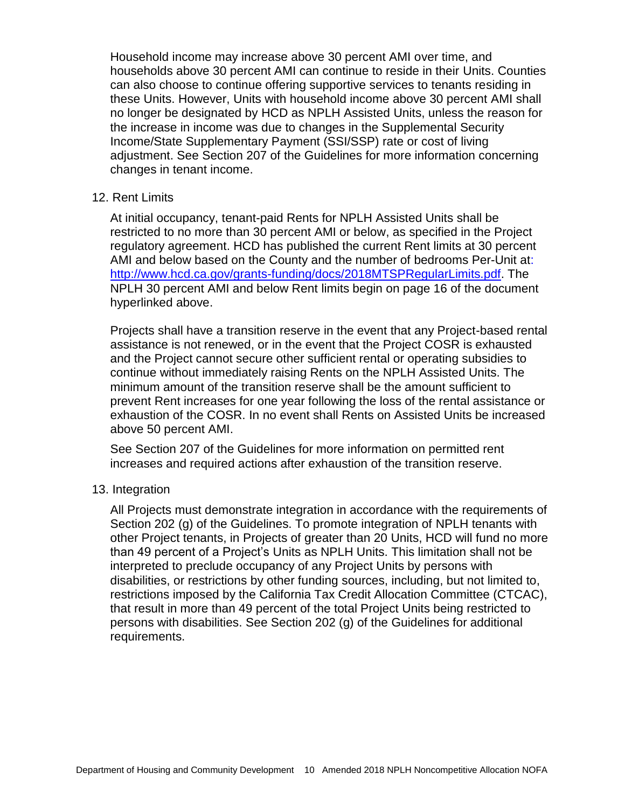Household income may increase above 30 percent AMI over time, and households above 30 percent AMI can continue to reside in their Units. Counties can also choose to continue offering supportive services to tenants residing in these Units. However, Units with household income above 30 percent AMI shall no longer be designated by HCD as NPLH Assisted Units, unless the reason for the increase in income was due to changes in the Supplemental Security Income/State Supplementary Payment (SSI/SSP) rate or cost of living adjustment. See Section 207 of the Guidelines for more information concerning changes in tenant income.

#### 12. Rent Limits

At initial occupancy, tenant-paid Rents for NPLH Assisted Units shall be restricted to no more than 30 percent AMI or below, as specified in the Project regulatory agreement. HCD has published the current Rent limits at 30 percent AMI and below based on the County and the number of bedrooms Per-Unit at: [http://www.hcd.ca.gov/grants-funding/docs/2018MTSPRegularLimits.pdf.](http://www.hcd.ca.gov/grants-funding/docs/2018MTSPRegularLimits.pdf) The NPLH 30 percent AMI and below Rent limits begin on page 16 of the document hyperlinked above.

Projects shall have a transition reserve in the event that any Project-based rental assistance is not renewed, or in the event that the Project COSR is exhausted and the Project cannot secure other sufficient rental or operating subsidies to continue without immediately raising Rents on the NPLH Assisted Units. The minimum amount of the transition reserve shall be the amount sufficient to prevent Rent increases for one year following the loss of the rental assistance or exhaustion of the COSR. In no event shall Rents on Assisted Units be increased above 50 percent AMI.

See Section 207 of the Guidelines for more information on permitted rent increases and required actions after exhaustion of the transition reserve.

#### 13. Integration

All Projects must demonstrate integration in accordance with the requirements of Section 202 (g) of the Guidelines. To promote integration of NPLH tenants with other Project tenants, in Projects of greater than 20 Units, HCD will fund no more than 49 percent of a Project's Units as NPLH Units. This limitation shall not be interpreted to preclude occupancy of any Project Units by persons with disabilities, or restrictions by other funding sources, including, but not limited to, restrictions imposed by the California Tax Credit Allocation Committee (CTCAC), that result in more than 49 percent of the total Project Units being restricted to persons with disabilities. See Section 202 (g) of the Guidelines for additional requirements.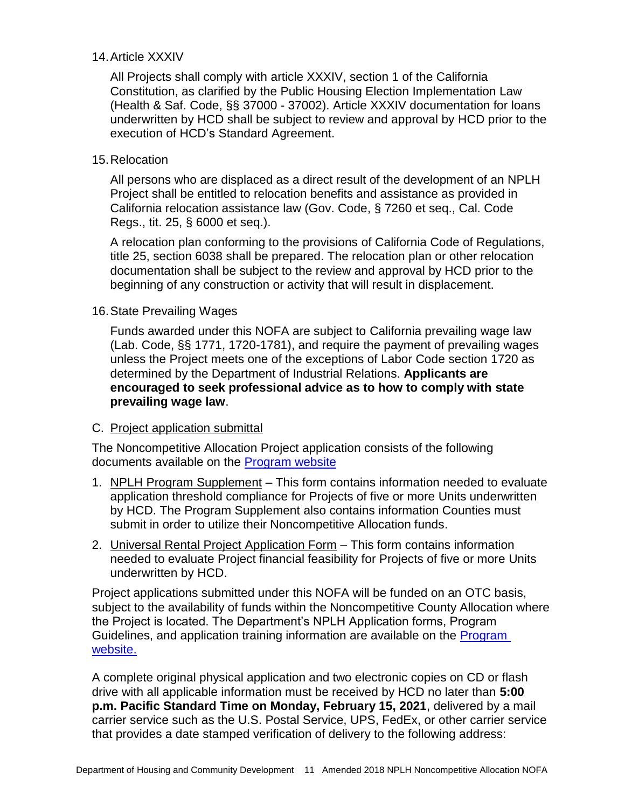#### 14.Article XXXIV

All Projects shall comply with article XXXIV, section 1 of the California Constitution, as clarified by the Public Housing Election Implementation Law (Health & Saf. Code, §§ 37000 - 37002). Article XXXIV documentation for loans underwritten by HCD shall be subject to review and approval by HCD prior to the execution of HCD's Standard Agreement.

#### 15.Relocation

All persons who are displaced as a direct result of the development of an NPLH Project shall be entitled to relocation benefits and assistance as provided in California relocation assistance law (Gov. Code, § 7260 et seq., Cal. Code Regs., tit. 25, § 6000 et seq.).

A relocation plan conforming to the provisions of California Code of Regulations, title 25, section 6038 shall be prepared. The relocation plan or other relocation documentation shall be subject to the review and approval by HCD prior to the beginning of any construction or activity that will result in displacement.

#### 16.State Prevailing Wages

Funds awarded under this NOFA are subject to California prevailing wage law (Lab. Code, §§ 1771, 1720-1781), and require the payment of prevailing wages unless the Project meets one of the exceptions of Labor Code section 1720 as determined by the Department of Industrial Relations. **Applicants are encouraged to seek professional advice as to how to comply with state prevailing wage law**.

#### <span id="page-15-0"></span>C. Project application submittal

The Noncompetitive Allocation Project application consists of the following documents available on the [Program website](http://www.hcd.ca.gov/grants-funding/active-funding/nplh.shtml)

- 1. NPLH Program Supplement This form contains information needed to evaluate application threshold compliance for Projects of five or more Units underwritten by HCD. The Program Supplement also contains information Counties must submit in order to utilize their Noncompetitive Allocation funds.
- 2. Universal Rental Project Application Form This form contains information needed to evaluate Project financial feasibility for Projects of five or more Units underwritten by HCD.

Project applications submitted under this NOFA will be funded on an OTC basis, subject to the availability of funds within the Noncompetitive County Allocation where the Project is located. The Department's NPLH Application forms, Program Guidelines, and application training information are available on the [Program](http://www.hcd.ca.gov/grants-funding/active-funding/nplh.shtml)  [website.](http://www.hcd.ca.gov/grants-funding/active-funding/nplh.shtml)

A complete original physical application and two electronic copies on CD or flash drive with all applicable information must be received by HCD no later than **5:00 p.m. Pacific Standard Time on Monday, February 15, 2021**, delivered by a mail carrier service such as the U.S. Postal Service, UPS, FedEx, or other carrier service that provides a date stamped verification of delivery to the following address: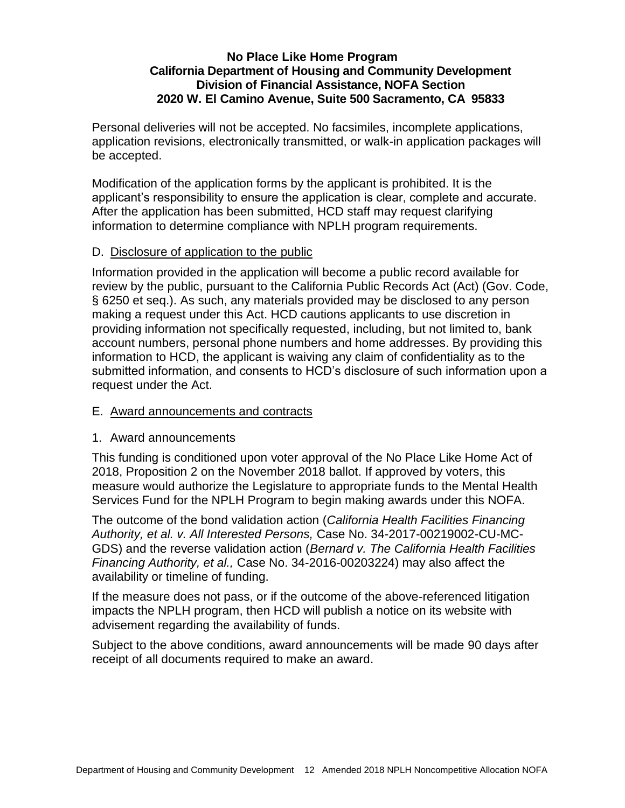#### **No Place Like Home Program California Department of Housing and Community Development Division of Financial Assistance, NOFA Section 2020 W. El Camino Avenue, Suite 500 Sacramento, CA 95833**

Personal deliveries will not be accepted. No facsimiles, incomplete applications, application revisions, electronically transmitted, or walk-in application packages will be accepted.

Modification of the application forms by the applicant is prohibited. It is the applicant's responsibility to ensure the application is clear, complete and accurate. After the application has been submitted, HCD staff may request clarifying information to determine compliance with NPLH program requirements.

#### <span id="page-16-0"></span>D. Disclosure of application to the public

Information provided in the application will become a public record available for review by the public, pursuant to the California Public Records Act (Act) (Gov. Code, § 6250 et seq.). As such, any materials provided may be disclosed to any person making a request under this Act. HCD cautions applicants to use discretion in providing information not specifically requested, including, but not limited to, bank account numbers, personal phone numbers and home addresses. By providing this information to HCD, the applicant is waiving any claim of confidentiality as to the submitted information, and consents to HCD's disclosure of such information upon a request under the Act.

#### <span id="page-16-1"></span>E. Award announcements and contracts

#### 1. Award announcements

This funding is conditioned upon voter approval of the No Place Like Home Act of 2018, Proposition 2 on the November 2018 ballot. If approved by voters, this measure would authorize the Legislature to appropriate funds to the Mental Health Services Fund for the NPLH Program to begin making awards under this NOFA.

The outcome of the bond validation action (*California Health Facilities Financing Authority, et al. v. All Interested Persons,* Case No. 34-2017-00219002-CU-MC-GDS) and the reverse validation action (*Bernard v. The California Health Facilities Financing Authority, et al.,* Case No. 34-2016-00203224) may also affect the availability or timeline of funding.

If the measure does not pass, or if the outcome of the above-referenced litigation impacts the NPLH program, then HCD will publish a notice on its website with advisement regarding the availability of funds.

Subject to the above conditions, award announcements will be made 90 days after receipt of all documents required to make an award.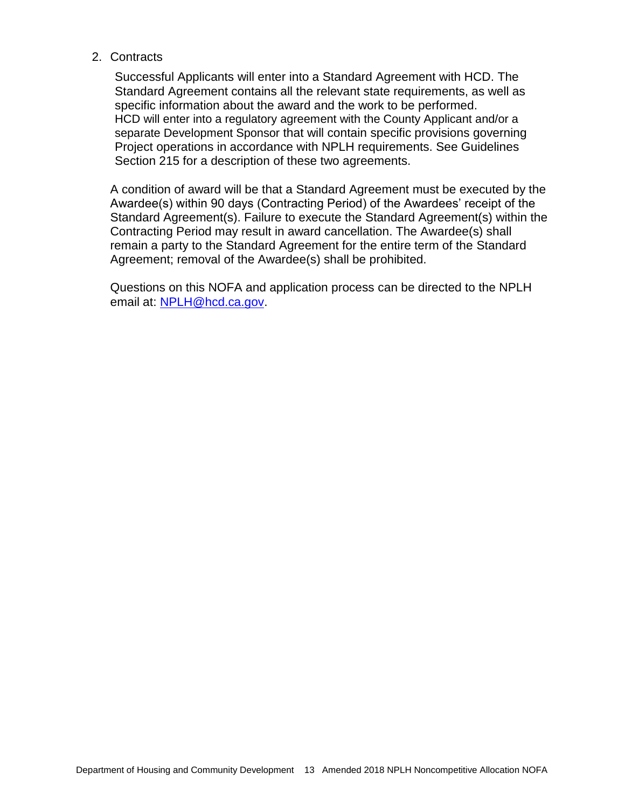#### 2. Contracts

Successful Applicants will enter into a Standard Agreement with HCD. The Standard Agreement contains all the relevant state requirements, as well as specific information about the award and the work to be performed. HCD will enter into a regulatory agreement with the County Applicant and/or a separate Development Sponsor that will contain specific provisions governing Project operations in accordance with NPLH requirements. See Guidelines Section 215 for a description of these two agreements.

A condition of award will be that a Standard Agreement must be executed by the Awardee(s) within 90 days (Contracting Period) of the Awardees' receipt of the Standard Agreement(s). Failure to execute the Standard Agreement(s) within the Contracting Period may result in award cancellation. The Awardee(s) shall remain a party to the Standard Agreement for the entire term of the Standard Agreement; removal of the Awardee(s) shall be prohibited.

Questions on this NOFA and application process can be directed to the NPLH email at: [NPLH@hcd.ca.gov.](mailto:NPLH@hcd.ca.gov)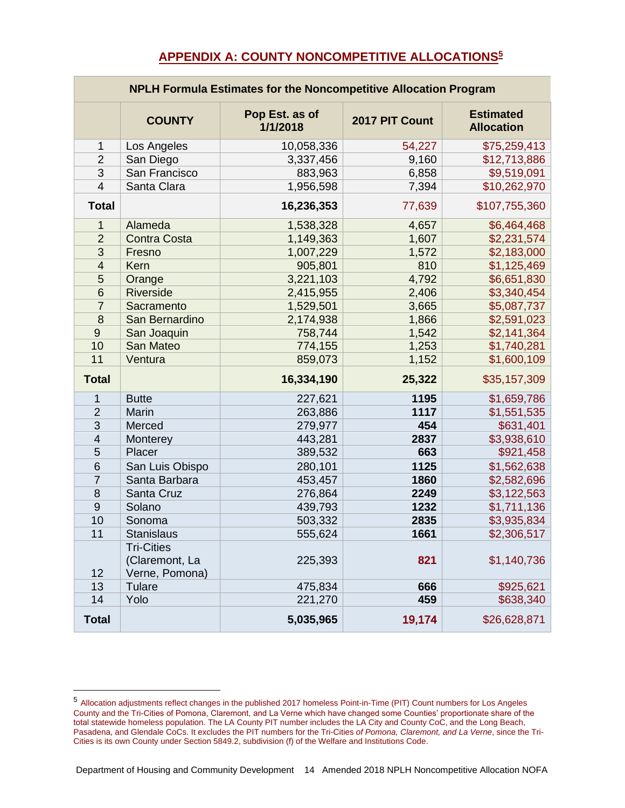#### **APPENDIX A: COUNTY NONCOMPETITIVE ALLOCATIONS<sup>5</sup>**

<span id="page-18-0"></span>

| <b>NPLH Formula Estimates for the Noncompetitive Allocation Program</b> |                                                       |                            |                |                                       |  |  |
|-------------------------------------------------------------------------|-------------------------------------------------------|----------------------------|----------------|---------------------------------------|--|--|
|                                                                         | <b>COUNTY</b>                                         | Pop Est. as of<br>1/1/2018 | 2017 PIT Count | <b>Estimated</b><br><b>Allocation</b> |  |  |
| $\mathbf{1}$                                                            | Los Angeles                                           | 10,058,336                 | 54,227         | \$75,259,413                          |  |  |
| $\overline{2}$                                                          | San Diego                                             | 3,337,456                  | 9,160          | \$12,713,886                          |  |  |
| 3                                                                       | San Francisco                                         | 883,963                    | 6,858          | \$9,519,091                           |  |  |
| $\overline{4}$                                                          | Santa Clara                                           | 1,956,598                  | 7,394          | \$10,262,970                          |  |  |
| <b>Total</b>                                                            |                                                       | 16,236,353                 | 77,639         | \$107,755,360                         |  |  |
| 1                                                                       | Alameda                                               | 1,538,328                  | 4,657          | \$6,464,468                           |  |  |
| $\overline{2}$                                                          | <b>Contra Costa</b>                                   | 1,149,363                  | 1,607          | \$2,231,574                           |  |  |
| 3                                                                       | Fresno                                                | 1,007,229                  | 1,572          | \$2,183,000                           |  |  |
| $\overline{4}$                                                          | Kern                                                  | 905,801                    | 810            | \$1,125,469                           |  |  |
| 5                                                                       | Orange                                                | 3,221,103                  | 4,792          | \$6,651,830                           |  |  |
| 6                                                                       | Riverside                                             | 2,415,955                  | 2,406          | \$3,340,454                           |  |  |
| $\overline{7}$                                                          | Sacramento                                            | 1,529,501                  | 3,665          | \$5,087,737                           |  |  |
| 8                                                                       | San Bernardino                                        | 2,174,938                  | 1,866          | \$2,591,023                           |  |  |
| 9                                                                       | San Joaquin                                           | 758,744                    | 1,542          | \$2,141,364                           |  |  |
| 10                                                                      | San Mateo                                             | 774,155                    | 1,253          | \$1,740,281                           |  |  |
| 11                                                                      | Ventura                                               | 859,073                    | 1,152          | \$1,600,109                           |  |  |
| <b>Total</b>                                                            |                                                       | 16,334,190                 | 25,322         | \$35,157,309                          |  |  |
| 1                                                                       | <b>Butte</b>                                          | 227,621                    | 1195           | \$1,659,786                           |  |  |
| $\overline{2}$                                                          | Marin                                                 | 263,886                    | 1117           | \$1,551,535                           |  |  |
| 3                                                                       | Merced                                                | 279,977                    | 454            | \$631,401                             |  |  |
| $\overline{4}$                                                          | Monterey                                              | 443,281                    | 2837           | \$3,938,610                           |  |  |
| 5                                                                       | Placer                                                | 389,532                    | 663            | \$921,458                             |  |  |
| 6                                                                       | San Luis Obispo                                       | 280,101                    | 1125           | \$1,562,638                           |  |  |
| $\overline{7}$                                                          | Santa Barbara                                         | 453,457                    | 1860           | \$2,582,696                           |  |  |
| 8                                                                       | Santa Cruz                                            | 276,864                    | 2249           | \$3,122,563                           |  |  |
| $9$                                                                     | Solano                                                | 439,793                    | 1232           | \$1,711,136                           |  |  |
| 10                                                                      | Sonoma                                                | 503,332                    | 2835           | \$3,935,834                           |  |  |
| 11                                                                      | <b>Stanislaus</b>                                     | 555,624                    | 1661           | \$2,306,517                           |  |  |
| 12                                                                      | <b>Tri-Cities</b><br>(Claremont, La<br>Verne, Pomona) | 225,393                    | 821            | \$1,140,736                           |  |  |
| 13                                                                      | Tulare                                                | 475,834                    | 666            | \$925,621                             |  |  |
| 14                                                                      | Yolo                                                  | 221,270                    | 459            | \$638,340                             |  |  |
| <b>Total</b>                                                            |                                                       | 5,035,965                  | 19,174         | \$26,628,871                          |  |  |

 Allocation adjustments reflect changes in the published 2017 homeless Point-in-Time (PIT) Count numbers for Los Angeles County and the Tri-Cities of Pomona, Claremont, and La Verne which have changed some Counties' proportionate share of the total statewide homeless population. The LA County PIT number includes the LA City and County CoC, and the Long Beach, Pasadena, and Glendale CoCs. It excludes the PIT numbers for the Tri-Cities *of Pomona, Claremont, and La Verne*, since the Tri-Cities is its own County under Section 5849.2, subdivision (f) of the Welfare and Institutions Code.